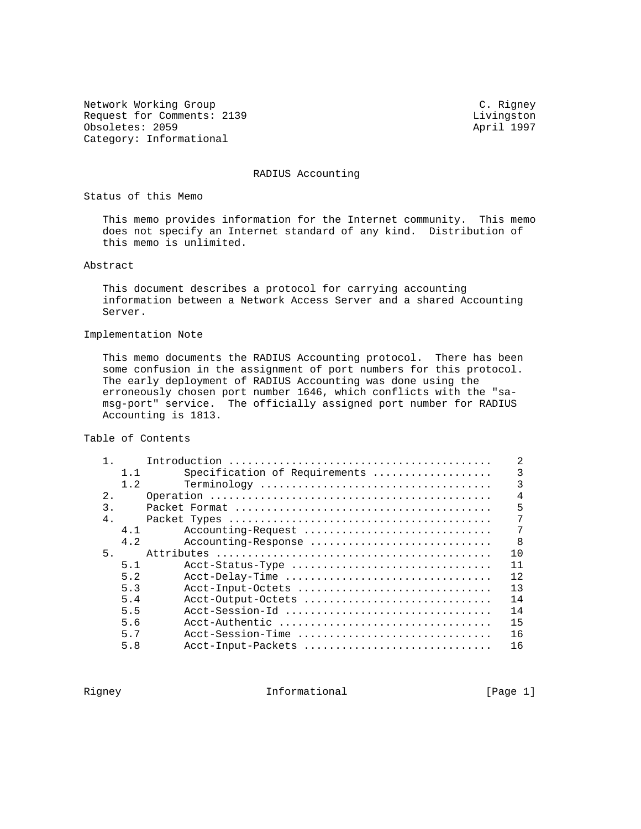Network Working Group C. Rigney Request for Comments: 2139 Livingston Obsoletes: 2059 April 1997 Category: Informational

RADIUS Accounting

Status of this Memo

 This memo provides information for the Internet community. This memo does not specify an Internet standard of any kind. Distribution of this memo is unlimited.

### Abstract

 This document describes a protocol for carrying accounting information between a Network Access Server and a shared Accounting Server.

#### Implementation Note

 This memo documents the RADIUS Accounting protocol. There has been some confusion in the assignment of port numbers for this protocol. The early deployment of RADIUS Accounting was done using the erroneously chosen port number 1646, which conflicts with the "sa msg-port" service. The officially assigned port number for RADIUS Accounting is 1813.

Table of Contents

|                  |     | 2                                   |
|------------------|-----|-------------------------------------|
|                  | 1.1 | 3<br>Specification of Requirements  |
|                  | 1.2 | 3                                   |
| 2.               |     | 4                                   |
| $\overline{3}$ . |     | 5                                   |
| 4.               |     | 7                                   |
|                  | 4.1 | 7<br>Accounting-Request             |
|                  | 4.2 | $\mathsf{R}$<br>Accounting-Response |
| 5.               |     | 10                                  |
|                  | 5.1 | 11<br>Acct-Status-Type              |
|                  | 5.2 | 12<br>Acct-Delay-Time               |
|                  | 5.3 | 13<br>Acct-Input-Octets             |
|                  | 5.4 | 14<br>Acct-Output-Octets            |
|                  | 5.5 | 14<br>Acct-Session-Id               |
|                  | 5.6 | 15<br>Acct-Authentic                |
|                  | 5.7 | 16<br>Acct-Session-Time             |
|                  | 5.8 | 16<br>Acct-Input-Packets            |

Rigney **Informational Informational** [Page 1]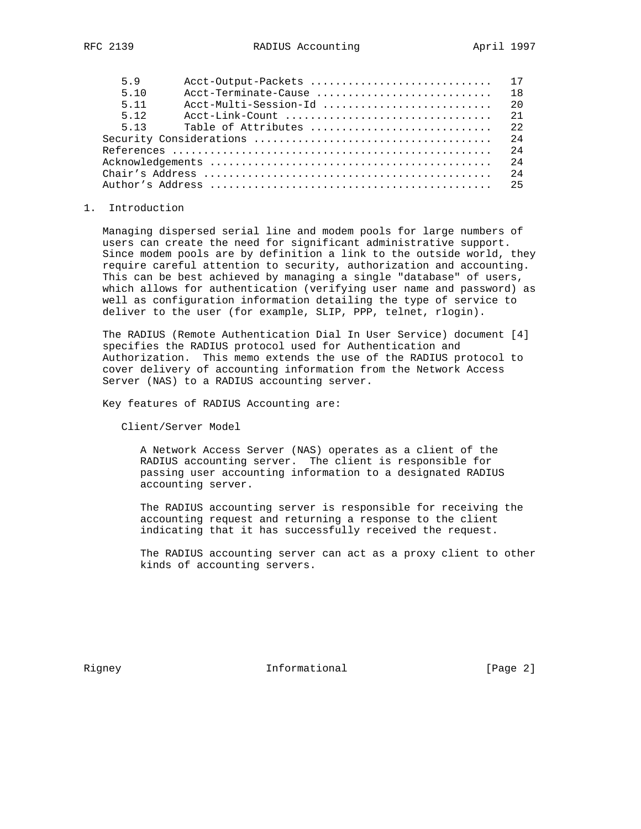| 59    | Acct-Output-Packets                                                              | 17  |
|-------|----------------------------------------------------------------------------------|-----|
| 5 1 0 | Acct-Terminate-Cause                                                             | 1 R |
| 5 1 1 | Acct-Multi-Session-Id                                                            | 20  |
| 5 1 2 | $Acct-Link-Count \ldots \ldots \ldots \ldots \ldots \ldots \ldots \ldots \ldots$ | 21  |
| 5 13  | Table of Attributes                                                              | 22  |
|       |                                                                                  | 2.4 |
|       |                                                                                  | 2.4 |
|       |                                                                                  | 2.4 |
|       |                                                                                  | 2.4 |
|       |                                                                                  | 25  |

### 1. Introduction

 Managing dispersed serial line and modem pools for large numbers of users can create the need for significant administrative support. Since modem pools are by definition a link to the outside world, they require careful attention to security, authorization and accounting. This can be best achieved by managing a single "database" of users, which allows for authentication (verifying user name and password) as well as configuration information detailing the type of service to deliver to the user (for example, SLIP, PPP, telnet, rlogin).

 The RADIUS (Remote Authentication Dial In User Service) document [4] specifies the RADIUS protocol used for Authentication and Authorization. This memo extends the use of the RADIUS protocol to cover delivery of accounting information from the Network Access Server (NAS) to a RADIUS accounting server.

Key features of RADIUS Accounting are:

Client/Server Model

 A Network Access Server (NAS) operates as a client of the RADIUS accounting server. The client is responsible for passing user accounting information to a designated RADIUS accounting server.

 The RADIUS accounting server is responsible for receiving the accounting request and returning a response to the client indicating that it has successfully received the request.

 The RADIUS accounting server can act as a proxy client to other kinds of accounting servers.

Rigney **Informational Informational** [Page 2]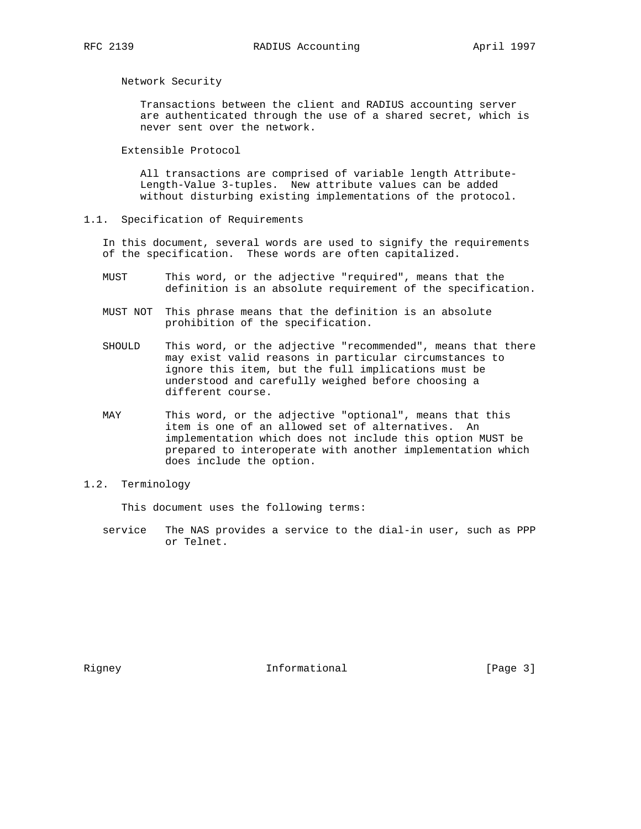Network Security

 Transactions between the client and RADIUS accounting server are authenticated through the use of a shared secret, which is never sent over the network.

Extensible Protocol

 All transactions are comprised of variable length Attribute- Length-Value 3-tuples. New attribute values can be added without disturbing existing implementations of the protocol.

1.1. Specification of Requirements

 In this document, several words are used to signify the requirements of the specification. These words are often capitalized.

- MUST This word, or the adjective "required", means that the definition is an absolute requirement of the specification.
- MUST NOT This phrase means that the definition is an absolute prohibition of the specification.
- SHOULD This word, or the adjective "recommended", means that there may exist valid reasons in particular circumstances to ignore this item, but the full implications must be understood and carefully weighed before choosing a different course.
- MAY This word, or the adjective "optional", means that this item is one of an allowed set of alternatives. An implementation which does not include this option MUST be prepared to interoperate with another implementation which does include the option.

# 1.2. Terminology

This document uses the following terms:

 service The NAS provides a service to the dial-in user, such as PPP or Telnet.

Rigney 11 and 10 and 11 and 11 and 11 and 12 and 12 and 12 and 13 and 13 and 13 and 13 and 13 and 13 and 13 and 13 and 13 and 13 and 13 and 13 and 13 and 13 and 13 and 13 and 13 and 13 and 13 and 13 and 13 and 13 and 13 an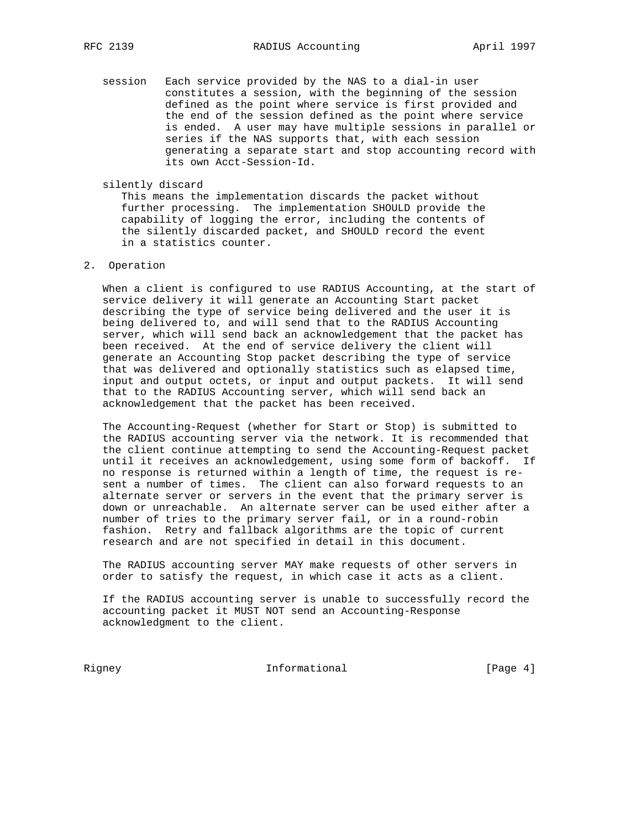- session Each service provided by the NAS to a dial-in user constitutes a session, with the beginning of the session defined as the point where service is first provided and the end of the session defined as the point where service is ended. A user may have multiple sessions in parallel or series if the NAS supports that, with each session generating a separate start and stop accounting record with its own Acct-Session-Id.
- silently discard

 This means the implementation discards the packet without further processing. The implementation SHOULD provide the capability of logging the error, including the contents of the silently discarded packet, and SHOULD record the event in a statistics counter.

# 2. Operation

 When a client is configured to use RADIUS Accounting, at the start of service delivery it will generate an Accounting Start packet describing the type of service being delivered and the user it is being delivered to, and will send that to the RADIUS Accounting server, which will send back an acknowledgement that the packet has been received. At the end of service delivery the client will generate an Accounting Stop packet describing the type of service that was delivered and optionally statistics such as elapsed time, input and output octets, or input and output packets. It will send that to the RADIUS Accounting server, which will send back an acknowledgement that the packet has been received.

 The Accounting-Request (whether for Start or Stop) is submitted to the RADIUS accounting server via the network. It is recommended that the client continue attempting to send the Accounting-Request packet until it receives an acknowledgement, using some form of backoff. If no response is returned within a length of time, the request is re sent a number of times. The client can also forward requests to an alternate server or servers in the event that the primary server is down or unreachable. An alternate server can be used either after a number of tries to the primary server fail, or in a round-robin fashion. Retry and fallback algorithms are the topic of current research and are not specified in detail in this document.

 The RADIUS accounting server MAY make requests of other servers in order to satisfy the request, in which case it acts as a client.

 If the RADIUS accounting server is unable to successfully record the accounting packet it MUST NOT send an Accounting-Response acknowledgment to the client.

Rigney 10 Informational Figure 1 and The Page 41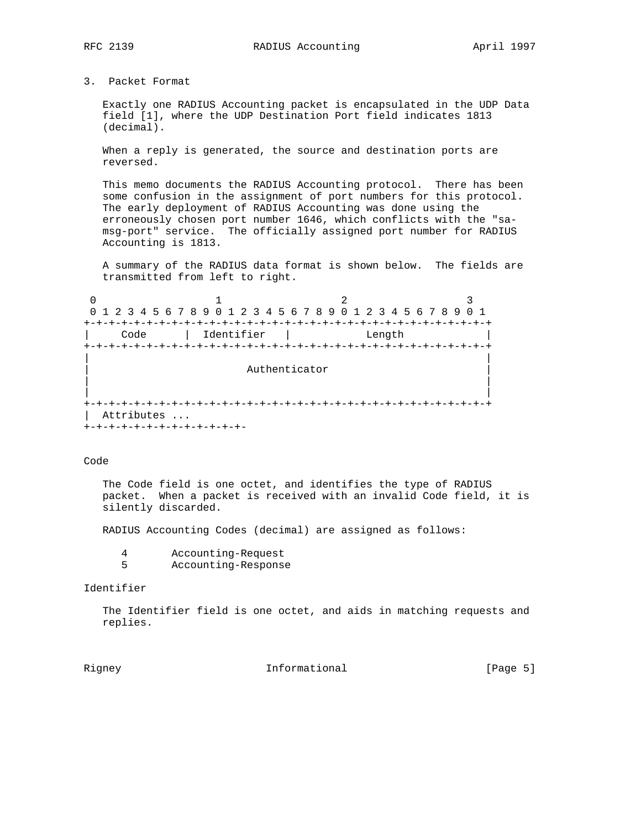3. Packet Format

 Exactly one RADIUS Accounting packet is encapsulated in the UDP Data field [1], where the UDP Destination Port field indicates 1813 (decimal).

 When a reply is generated, the source and destination ports are reversed.

 This memo documents the RADIUS Accounting protocol. There has been some confusion in the assignment of port numbers for this protocol. The early deployment of RADIUS Accounting was done using the erroneously chosen port number 1646, which conflicts with the "sa msg-port" service. The officially assigned port number for RADIUS Accounting is 1813.

 A summary of the RADIUS data format is shown below. The fields are transmitted from left to right.

0  $1$  2 3 0 1 2 3 4 5 6 7 8 9 0 1 2 3 4 5 6 7 8 9 0 1 2 3 4 5 6 7 8 9 0 1 +-+-+-+-+-+-+-+-+-+-+-+-+-+-+-+-+-+-+-+-+-+-+-+-+-+-+-+-+-+-+-+-+ | Code | Identifier | Length | +-+-+-+-+-+-+-+-+-+-+-+-+-+-+-+-+-+-+-+-+-+-+-+-+-+-+-+-+-+-+-+-+ | | Authenticator | | | | +-+-+-+-+-+-+-+-+-+-+-+-+-+-+-+-+-+-+-+-+-+-+-+-+-+-+-+-+-+-+-+-+ | Attributes ... +-+-+-+-+-+-+-+-+-+-+-+-+-

Code

 The Code field is one octet, and identifies the type of RADIUS packet. When a packet is received with an invalid Code field, it is silently discarded.

RADIUS Accounting Codes (decimal) are assigned as follows:

|  | Accounting-Request |
|--|--------------------|
|--|--------------------|

5 Accounting-Response

# Identifier

 The Identifier field is one octet, and aids in matching requests and replies.

Rigney **Informational Informational** [Page 5]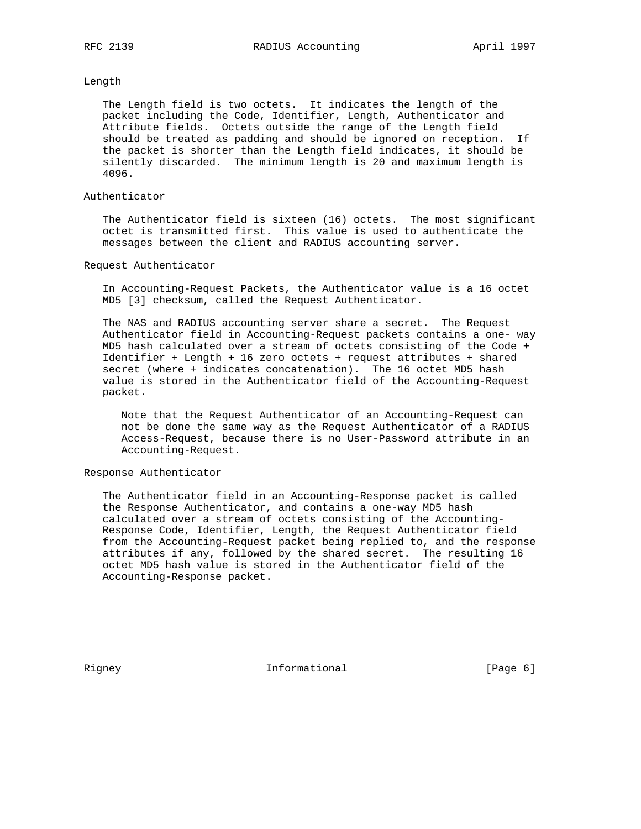# Length

 The Length field is two octets. It indicates the length of the packet including the Code, Identifier, Length, Authenticator and Attribute fields. Octets outside the range of the Length field should be treated as padding and should be ignored on reception. If the packet is shorter than the Length field indicates, it should be silently discarded. The minimum length is 20 and maximum length is 4096.

# Authenticator

 The Authenticator field is sixteen (16) octets. The most significant octet is transmitted first. This value is used to authenticate the messages between the client and RADIUS accounting server.

#### Request Authenticator

 In Accounting-Request Packets, the Authenticator value is a 16 octet MD5 [3] checksum, called the Request Authenticator.

 The NAS and RADIUS accounting server share a secret. The Request Authenticator field in Accounting-Request packets contains a one- way MD5 hash calculated over a stream of octets consisting of the Code + Identifier + Length + 16 zero octets + request attributes + shared secret (where + indicates concatenation). The 16 octet MD5 hash value is stored in the Authenticator field of the Accounting-Request packet.

 Note that the Request Authenticator of an Accounting-Request can not be done the same way as the Request Authenticator of a RADIUS Access-Request, because there is no User-Password attribute in an Accounting-Request.

### Response Authenticator

 The Authenticator field in an Accounting-Response packet is called the Response Authenticator, and contains a one-way MD5 hash calculated over a stream of octets consisting of the Accounting- Response Code, Identifier, Length, the Request Authenticator field from the Accounting-Request packet being replied to, and the response attributes if any, followed by the shared secret. The resulting 16 octet MD5 hash value is stored in the Authenticator field of the Accounting-Response packet.

Rigney **Informational Informational** [Page 6]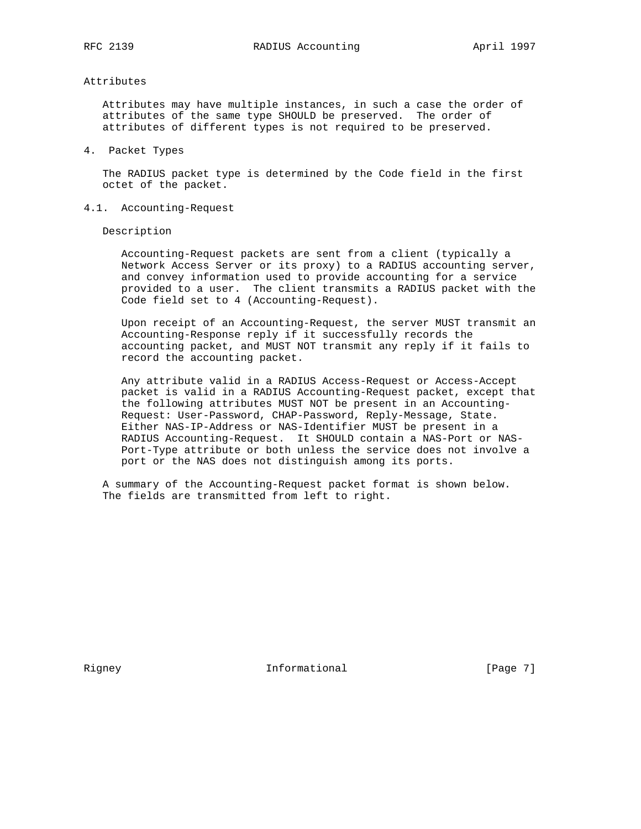# Attributes

 Attributes may have multiple instances, in such a case the order of attributes of the same type SHOULD be preserved. The order of attributes of different types is not required to be preserved.

4. Packet Types

 The RADIUS packet type is determined by the Code field in the first octet of the packet.

4.1. Accounting-Request

Description

 Accounting-Request packets are sent from a client (typically a Network Access Server or its proxy) to a RADIUS accounting server, and convey information used to provide accounting for a service provided to a user. The client transmits a RADIUS packet with the Code field set to 4 (Accounting-Request).

 Upon receipt of an Accounting-Request, the server MUST transmit an Accounting-Response reply if it successfully records the accounting packet, and MUST NOT transmit any reply if it fails to record the accounting packet.

 Any attribute valid in a RADIUS Access-Request or Access-Accept packet is valid in a RADIUS Accounting-Request packet, except that the following attributes MUST NOT be present in an Accounting- Request: User-Password, CHAP-Password, Reply-Message, State. Either NAS-IP-Address or NAS-Identifier MUST be present in a RADIUS Accounting-Request. It SHOULD contain a NAS-Port or NAS- Port-Type attribute or both unless the service does not involve a port or the NAS does not distinguish among its ports.

 A summary of the Accounting-Request packet format is shown below. The fields are transmitted from left to right.

Rigney 11 1nformational [Page 7]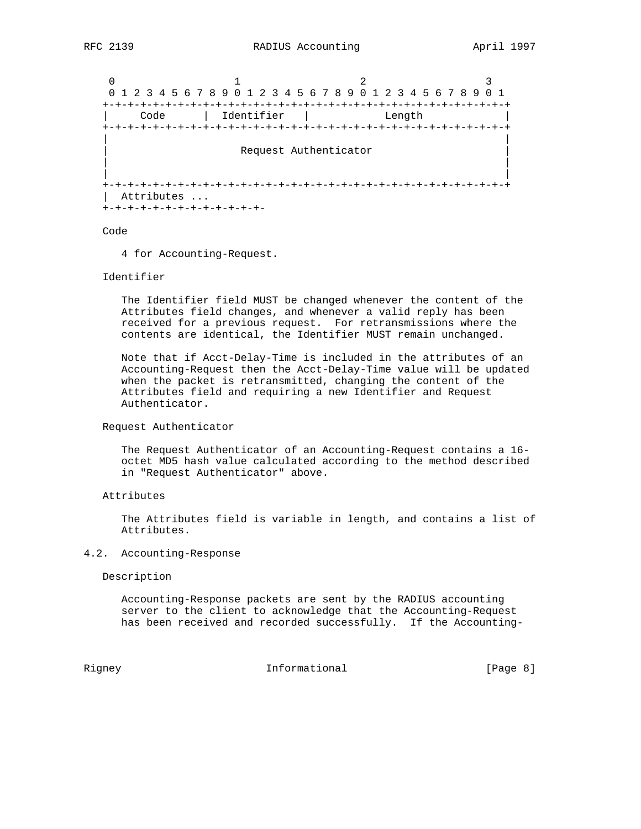```
0 1 2 3
 0 1 2 3 4 5 6 7 8 9 0 1 2 3 4 5 6 7 8 9 0 1 2 3 4 5 6 7 8 9 0 1
 +-+-+-+-+-+-+-+-+-+-+-+-+-+-+-+-+-+-+-+-+-+-+-+-+-+-+-+-+-+-+-+-+
 | Code | Identifier | Length |
 +-+-+-+-+-+-+-+-+-+-+-+-+-+-+-+-+-+-+-+-+-+-+-+-+-+-+-+-+-+-+-+-+
| |
             Request Authenticator
| |
| |
 +-+-+-+-+-+-+-+-+-+-+-+-+-+-+-+-+-+-+-+-+-+-+-+-+-+-+-+-+-+-+-+-+
  | Attributes ...
 +-+-+-+-+-+-+-+-+-+-+-+-+-
```
Code

4 for Accounting-Request.

### Identifier

 The Identifier field MUST be changed whenever the content of the Attributes field changes, and whenever a valid reply has been received for a previous request. For retransmissions where the contents are identical, the Identifier MUST remain unchanged.

 Note that if Acct-Delay-Time is included in the attributes of an Accounting-Request then the Acct-Delay-Time value will be updated when the packet is retransmitted, changing the content of the Attributes field and requiring a new Identifier and Request Authenticator.

#### Request Authenticator

 The Request Authenticator of an Accounting-Request contains a 16 octet MD5 hash value calculated according to the method described in "Request Authenticator" above.

# Attributes

 The Attributes field is variable in length, and contains a list of Attributes.

## 4.2. Accounting-Response

Description

 Accounting-Response packets are sent by the RADIUS accounting server to the client to acknowledge that the Accounting-Request has been received and recorded successfully. If the Accounting-

Rigney **Informational Informational Example 1** [Page 8]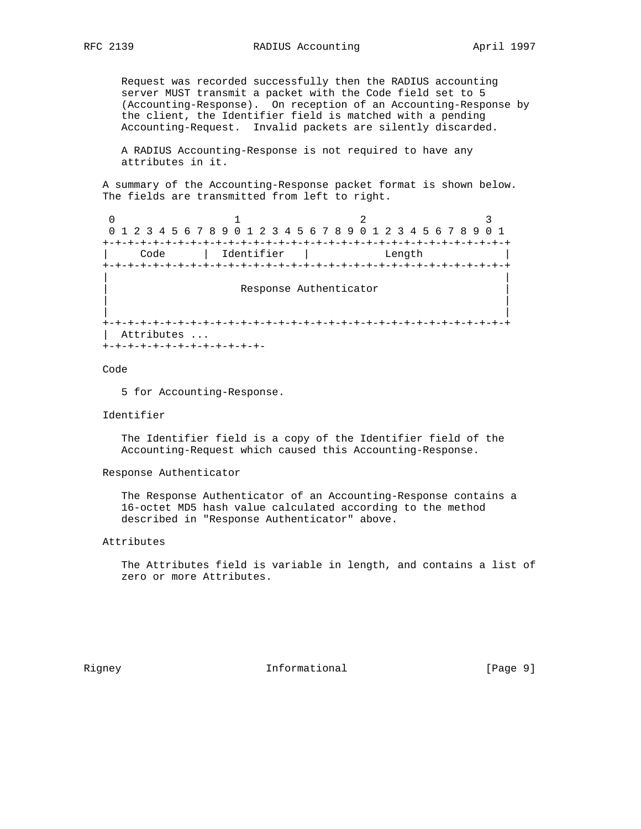Request was recorded successfully then the RADIUS accounting server MUST transmit a packet with the Code field set to 5 (Accounting-Response). On reception of an Accounting-Response by the client, the Identifier field is matched with a pending Accounting-Request. Invalid packets are silently discarded.

 A RADIUS Accounting-Response is not required to have any attributes in it.

 A summary of the Accounting-Response packet format is shown below. The fields are transmitted from left to right.

0  $1$  2 3 0 1 2 3 4 5 6 7 8 9 0 1 2 3 4 5 6 7 8 9 0 1 2 3 4 5 6 7 8 9 0 1 +-+-+-+-+-+-+-+-+-+-+-+-+-+-+-+-+-+-+-+-+-+-+-+-+-+-+-+-+-+-+-+-+ | Code | Identifier | Length | +-+-+-+-+-+-+-+-+-+-+-+-+-+-+-+-+-+-+-+-+-+-+-+-+-+-+-+-+-+-+-+-+ | | Response Authenticator | | | | +-+-+-+-+-+-+-+-+-+-+-+-+-+-+-+-+-+-+-+-+-+-+-+-+-+-+-+-+-+-+-+-+ Attributes ... +-+-+-+-+-+-+-+-+-+-+-+-+-

Code

5 for Accounting-Response.

#### Identifier

 The Identifier field is a copy of the Identifier field of the Accounting-Request which caused this Accounting-Response.

### Response Authenticator

 The Response Authenticator of an Accounting-Response contains a 16-octet MD5 hash value calculated according to the method described in "Response Authenticator" above.

# Attributes

 The Attributes field is variable in length, and contains a list of zero or more Attributes.

Rigney **Informational Informational** [Page 9]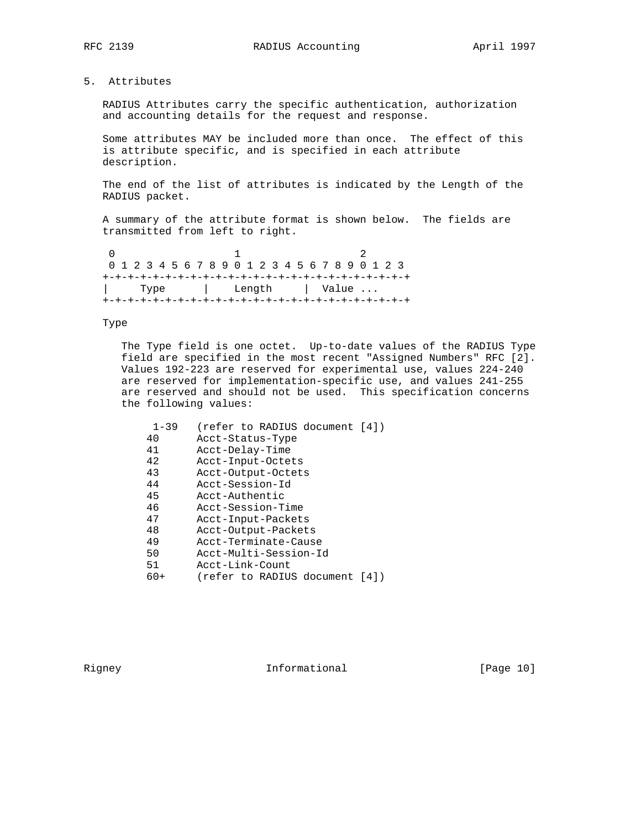5. Attributes

 RADIUS Attributes carry the specific authentication, authorization and accounting details for the request and response.

 Some attributes MAY be included more than once. The effect of this is attribute specific, and is specified in each attribute description.

 The end of the list of attributes is indicated by the Length of the RADIUS packet.

 A summary of the attribute format is shown below. The fields are transmitted from left to right.

| 0 1 2 3 4 5 6 7 8 9 0 1 2 3 4 5 6 7 8 9 0 1 2 3 |                       |  |  |  |  |  |  |  |  |  |  |
|-------------------------------------------------|-----------------------|--|--|--|--|--|--|--|--|--|--|
|                                                 |                       |  |  |  |  |  |  |  |  |  |  |
|                                                 | Type   Length   Value |  |  |  |  |  |  |  |  |  |  |
|                                                 |                       |  |  |  |  |  |  |  |  |  |  |

### Type

 The Type field is one octet. Up-to-date values of the RADIUS Type field are specified in the most recent "Assigned Numbers" RFC [2]. Values 192-223 are reserved for experimental use, values 224-240 are reserved for implementation-specific use, and values 241-255 are reserved and should not be used. This specification concerns the following values:

| $1 - 39$ | (refer to RADIUS document [4])   |
|----------|----------------------------------|
| 40       | Acct-Status-Type                 |
| 41       | Acct-Delay-Time                  |
| 42       | Acct-Input-Octets                |
| 43       | Acct-Output-Octets               |
| 44       | Acct-Session-Id                  |
| 45       | Acct-Authentic                   |
| 46       | Acct-Session-Time                |
| 47       | Acct-Input-Packets               |
| 48       | Acct-Output-Packets              |
| 49       | Acct-Terminate-Cause             |
| 50       | Acct-Multi-Session-Id            |
| 51       | Acct-Link-Count                  |
| 60+      | (refer to RADIUS document<br>141 |

Rigney 10 Informational [Page 10]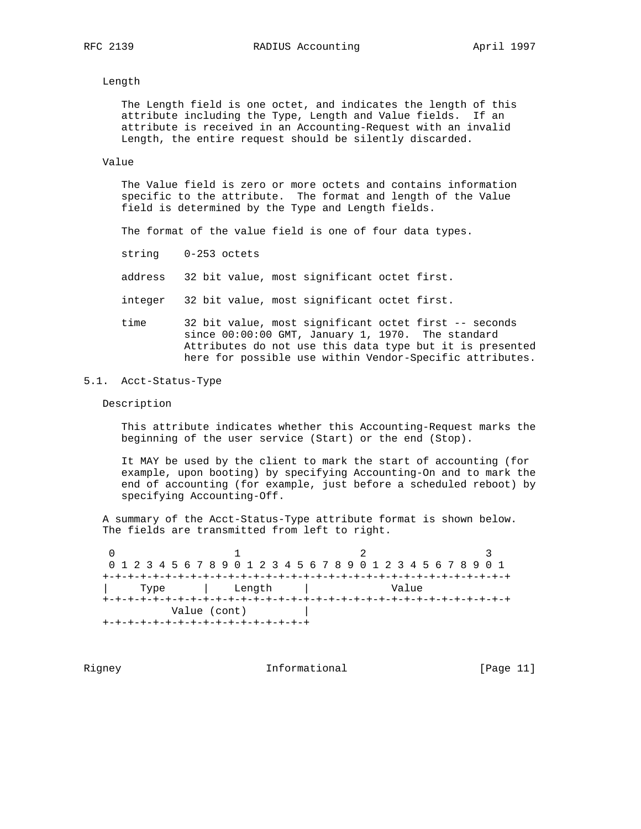### Length

 The Length field is one octet, and indicates the length of this attribute including the Type, Length and Value fields. If an attribute is received in an Accounting-Request with an invalid Length, the entire request should be silently discarded.

## Value

 The Value field is zero or more octets and contains information specific to the attribute. The format and length of the Value field is determined by the Type and Length fields.

The format of the value field is one of four data types.

string 0-253 octets

address 32 bit value, most significant octet first.

integer 32 bit value, most significant octet first.

 time 32 bit value, most significant octet first -- seconds since 00:00:00 GMT, January 1, 1970. The standard Attributes do not use this data type but it is presented here for possible use within Vendor-Specific attributes.

# 5.1. Acct-Status-Type

#### Description

 This attribute indicates whether this Accounting-Request marks the beginning of the user service (Start) or the end (Stop).

 It MAY be used by the client to mark the start of accounting (for example, upon booting) by specifying Accounting-On and to mark the end of accounting (for example, just before a scheduled reboot) by specifying Accounting-Off.

 A summary of the Acct-Status-Type attribute format is shown below. The fields are transmitted from left to right.

0  $1$  2 3 0 1 2 3 4 5 6 7 8 9 0 1 2 3 4 5 6 7 8 9 0 1 2 3 4 5 6 7 8 9 0 1 +-+-+-+-+-+-+-+-+-+-+-+-+-+-+-+-+-+-+-+-+-+-+-+-+-+-+-+-+-+-+-+-+ | Type | Length | Value +-+-+-+-+-+-+-+-+-+-+-+-+-+-+-+-+-+-+-+-+-+-+-+-+-+-+-+-+-+-+-+-+ Value (cont) | +-+-+-+-+-+-+-+-+-+-+-+-+-+-+-+-+

Rigney 11 Informational [Page 11]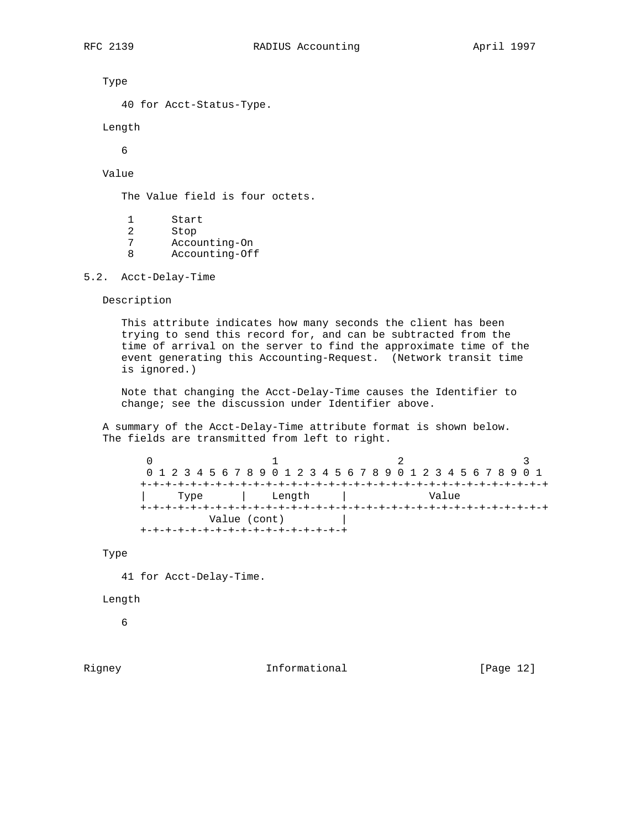Type

40 for Acct-Status-Type.

Length

6

# Value

The Value field is four octets.

- 1 Start
- 2 Stop<br>7 Accor
- Accounting-On
- 8 Accounting-Off

5.2. Acct-Delay-Time

Description

 This attribute indicates how many seconds the client has been trying to send this record for, and can be subtracted from the time of arrival on the server to find the approximate time of the event generating this Accounting-Request. (Network transit time is ignored.)

 Note that changing the Acct-Delay-Time causes the Identifier to change; see the discussion under Identifier above.

 A summary of the Acct-Delay-Time attribute format is shown below. The fields are transmitted from left to right.

 $0$  1 2 3 0 1 2 3 4 5 6 7 8 9 0 1 2 3 4 5 6 7 8 9 0 1 2 3 4 5 6 7 8 9 0 1 +-+-+-+-+-+-+-+-+-+-+-+-+-+-+-+-+-+-+-+-+-+-+-+-+-+-+-+-+-+-+-+-+ | Type | Length | Value +-+-+-+-+-+-+-+-+-+-+-+-+-+-+-+-+-+-+-+-+-+-+-+-+-+-+-+-+-+-+-+-+ Value (cont) | +-+-+-+-+-+-+-+-+-+-+-+-+-+-+-+-+

Type

41 for Acct-Delay-Time.

# Length

6

Rigney 10 1nformational [Page 12]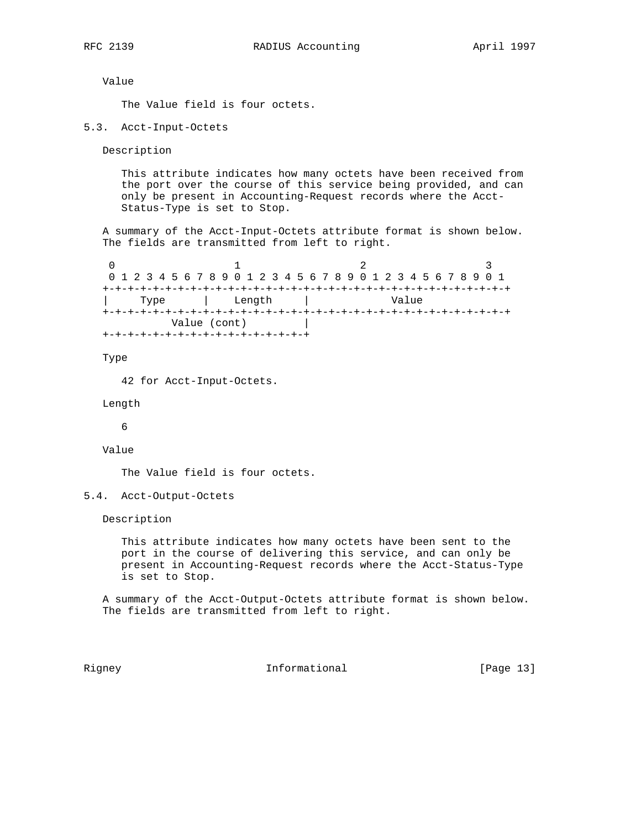Value

The Value field is four octets.

5.3. Acct-Input-Octets

Description

 This attribute indicates how many octets have been received from the port over the course of this service being provided, and can only be present in Accounting-Request records where the Acct- Status-Type is set to Stop.

 A summary of the Acct-Input-Octets attribute format is shown below. The fields are transmitted from left to right.

0  $1$  2 3 0 1 2 3 4 5 6 7 8 9 0 1 2 3 4 5 6 7 8 9 0 1 2 3 4 5 6 7 8 9 0 1 +-+-+-+-+-+-+-+-+-+-+-+-+-+-+-+-+-+-+-+-+-+-+-+-+-+-+-+-+-+-+-+-+ | Type | Length | Value +-+-+-+-+-+-+-+-+-+-+-+-+-+-+-+-+-+-+-+-+-+-+-+-+-+-+-+-+-+-+-+-+ Value (cont) | +-+-+-+-+-+-+-+-+-+-+-+-+-+-+-+-+

Type

42 for Acct-Input-Octets.

Length

6

Value

The Value field is four octets.

5.4. Acct-Output-Octets

Description

 This attribute indicates how many octets have been sent to the port in the course of delivering this service, and can only be present in Accounting-Request records where the Acct-Status-Type is set to Stop.

 A summary of the Acct-Output-Octets attribute format is shown below. The fields are transmitted from left to right.

Rigney 11 1nformational [Page 13]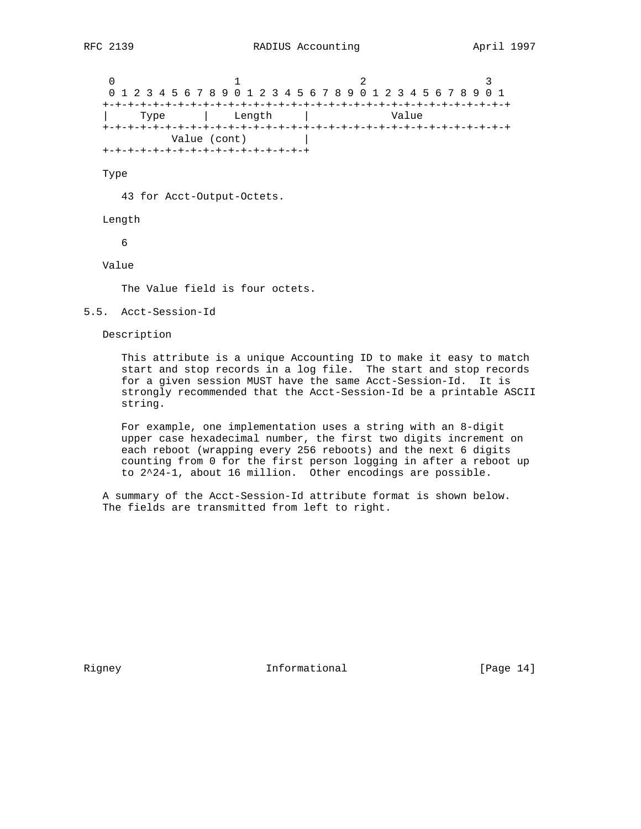0  $1$  2 3 0 1 2 3 4 5 6 7 8 9 0 1 2 3 4 5 6 7 8 9 0 1 2 3 4 5 6 7 8 9 0 1 +-+-+-+-+-+-+-+-+-+-+-+-+-+-+-+-+-+-+-+-+-+-+-+-+-+-+-+-+-+-+-+-+ | Type | Length | Value +-+-+-+-+-+-+-+-+-+-+-+-+-+-+-+-+-+-+-+-+-+-+-+-+-+-+-+-+-+-+-+-+ Value (cont) | +-+-+-+-+-+-+-+-+-+-+-+-+-+-+-+-+

Type

43 for Acct-Output-Octets.

Length

6

Value

The Value field is four octets.

5.5. Acct-Session-Id

Description

 This attribute is a unique Accounting ID to make it easy to match start and stop records in a log file. The start and stop records for a given session MUST have the same Acct-Session-Id. It is strongly recommended that the Acct-Session-Id be a printable ASCII string.

 For example, one implementation uses a string with an 8-digit upper case hexadecimal number, the first two digits increment on each reboot (wrapping every 256 reboots) and the next 6 digits counting from 0 for the first person logging in after a reboot up to 2^24-1, about 16 million. Other encodings are possible.

 A summary of the Acct-Session-Id attribute format is shown below. The fields are transmitted from left to right.

Rigney 11 1nformational [Page 14]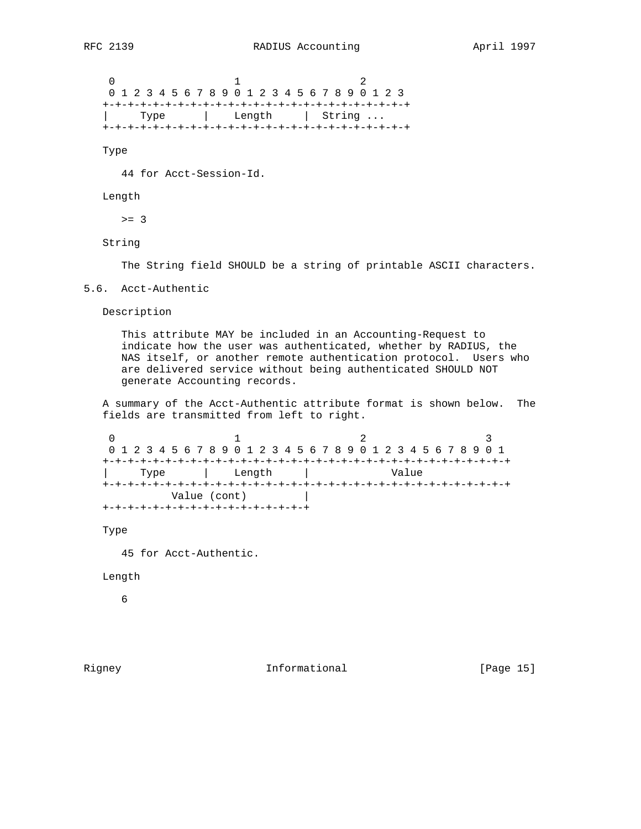$0$  1 2 0 1 2 3 4 5 6 7 8 9 0 1 2 3 4 5 6 7 8 9 0 1 2 3 +-+-+-+-+-+-+-+-+-+-+-+-+-+-+-+-+-+-+-+-+-+-+-+-+ | Type | Length | String ... +-+-+-+-+-+-+-+-+-+-+-+-+-+-+-+-+-+-+-+-+-+-+-+-+

Type

44 for Acct-Session-Id.

# Length

 $>= 3$ 

String

The String field SHOULD be a string of printable ASCII characters.

5.6. Acct-Authentic

Description

 This attribute MAY be included in an Accounting-Request to indicate how the user was authenticated, whether by RADIUS, the NAS itself, or another remote authentication protocol. Users who are delivered service without being authenticated SHOULD NOT generate Accounting records.

 A summary of the Acct-Authentic attribute format is shown below. The fields are transmitted from left to right.

0  $1$  2 3 0 1 2 3 4 5 6 7 8 9 0 1 2 3 4 5 6 7 8 9 0 1 2 3 4 5 6 7 8 9 0 1 +-+-+-+-+-+-+-+-+-+-+-+-+-+-+-+-+-+-+-+-+-+-+-+-+-+-+-+-+-+-+-+-+ | Type | Length | Value +-+-+-+-+-+-+-+-+-+-+-+-+-+-+-+-+-+-+-+-+-+-+-+-+-+-+-+-+-+-+-+-+ Value (cont) | +-+-+-+-+-+-+-+-+-+-+-+-+-+-+-+-+

Type

45 for Acct-Authentic.

#### Length

6

Rigney 19 1nformational [Page 15]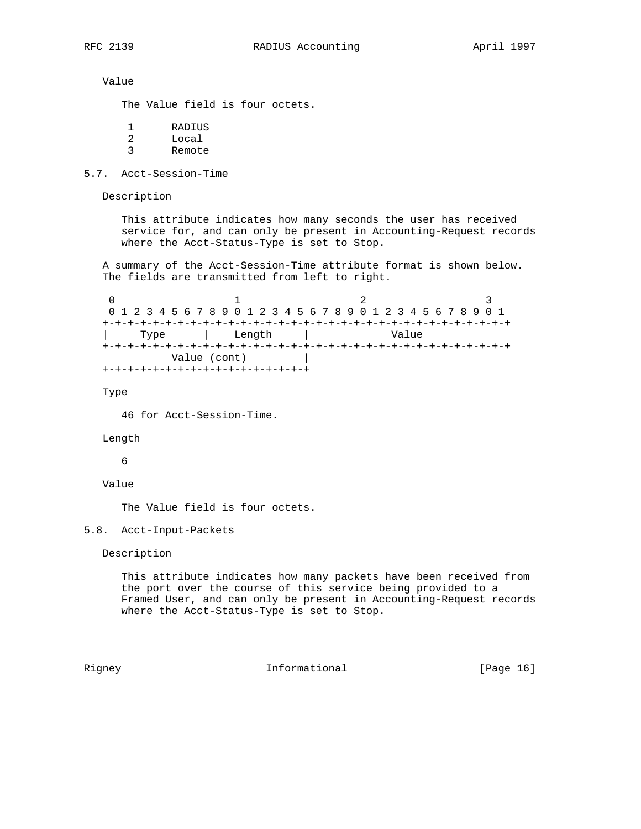Value

The Value field is four octets.

| <b>RADIUS</b> |
|---------------|
| Local         |
| Remote        |

5.7. Acct-Session-Time

Description

 This attribute indicates how many seconds the user has received service for, and can only be present in Accounting-Request records where the Acct-Status-Type is set to Stop.

 A summary of the Acct-Session-Time attribute format is shown below. The fields are transmitted from left to right.

0  $1$  2 3 0 1 2 3 4 5 6 7 8 9 0 1 2 3 4 5 6 7 8 9 0 1 2 3 4 5 6 7 8 9 0 1 +-+-+-+-+-+-+-+-+-+-+-+-+-+-+-+-+-+-+-+-+-+-+-+-+-+-+-+-+-+-+-+-+ | Type | Length | Value +-+-+-+-+-+-+-+-+-+-+-+-+-+-+-+-+-+-+-+-+-+-+-+-+-+-+-+-+-+-+-+-+ Value (cont) | +-+-+-+-+-+-+-+-+-+-+-+-+-+-+-+-+

Type

46 for Acct-Session-Time.

#### Length

6

# Value

The Value field is four octets.

## 5.8. Acct-Input-Packets

Description

 This attribute indicates how many packets have been received from the port over the course of this service being provided to a Framed User, and can only be present in Accounting-Request records where the Acct-Status-Type is set to Stop.

Rigney 10 1nformational [Page 16]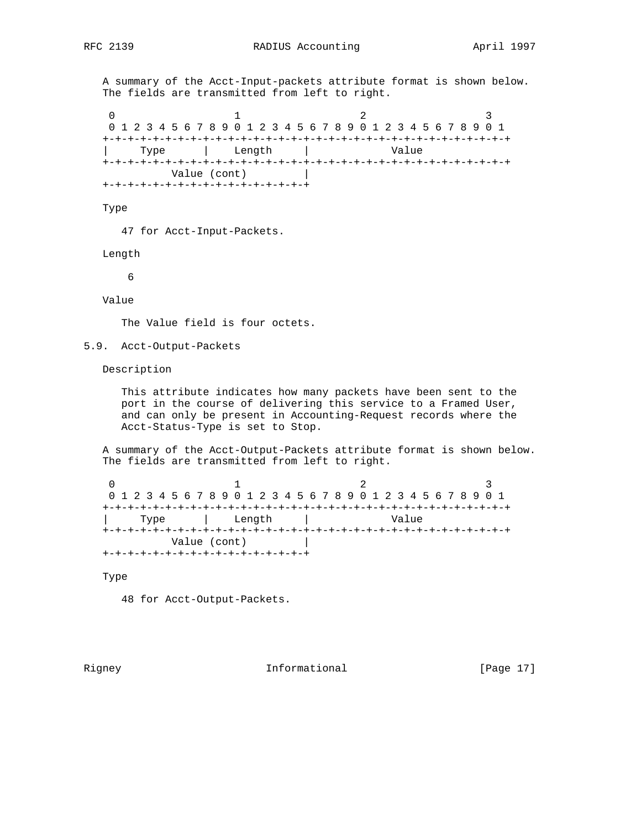A summary of the Acct-Input-packets attribute format is shown below. The fields are transmitted from left to right.

0  $1$  2 3 0 1 2 3 4 5 6 7 8 9 0 1 2 3 4 5 6 7 8 9 0 1 2 3 4 5 6 7 8 9 0 1 +-+-+-+-+-+-+-+-+-+-+-+-+-+-+-+-+-+-+-+-+-+-+-+-+-+-+-+-+-+-+-+-+ | Type | Length | Value +-+-+-+-+-+-+-+-+-+-+-+-+-+-+-+-+-+-+-+-+-+-+-+-+-+-+-+-+-+-+-+-+ Value (cont) | +-+-+-+-+-+-+-+-+-+-+-+-+-+-+-+-+

Type

47 for Acct-Input-Packets.

Length

6

Value

The Value field is four octets.

5.9. Acct-Output-Packets

Description

 This attribute indicates how many packets have been sent to the port in the course of delivering this service to a Framed User, and can only be present in Accounting-Request records where the Acct-Status-Type is set to Stop.

 A summary of the Acct-Output-Packets attribute format is shown below. The fields are transmitted from left to right.

0  $1$  2 3 0 1 2 3 4 5 6 7 8 9 0 1 2 3 4 5 6 7 8 9 0 1 2 3 4 5 6 7 8 9 0 1 +-+-+-+-+-+-+-+-+-+-+-+-+-+-+-+-+-+-+-+-+-+-+-+-+-+-+-+-+-+-+-+-+ | Type | Length | Value +-+-+-+-+-+-+-+-+-+-+-+-+-+-+-+-+-+-+-+-+-+-+-+-+-+-+-+-+-+-+-+-+ Value (cont) | +-+-+-+-+-+-+-+-+-+-+-+-+-+-+-+-+

Type

48 for Acct-Output-Packets.

Rigney 10 1nformational [Page 17]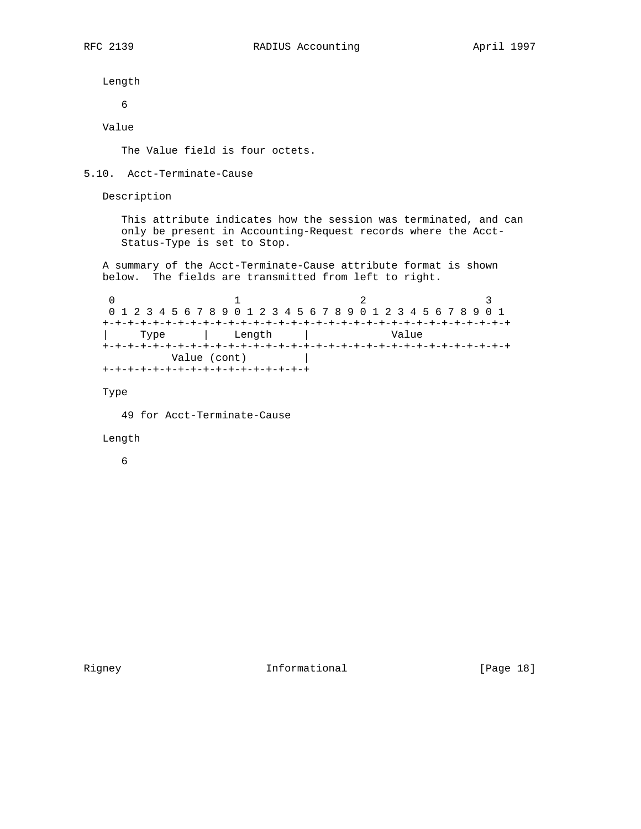Length

6

Value

The Value field is four octets.

#### 5.10. Acct-Terminate-Cause

Description

 This attribute indicates how the session was terminated, and can only be present in Accounting-Request records where the Acct- Status-Type is set to Stop.

 A summary of the Acct-Terminate-Cause attribute format is shown below. The fields are transmitted from left to right.

0  $1$  2 3 0 1 2 3 4 5 6 7 8 9 0 1 2 3 4 5 6 7 8 9 0 1 2 3 4 5 6 7 8 9 0 1 +-+-+-+-+-+-+-+-+-+-+-+-+-+-+-+-+-+-+-+-+-+-+-+-+-+-+-+-+-+-+-+-+ | Type | Length | Value +-+-+-+-+-+-+-+-+-+-+-+-+-+-+-+-+-+-+-+-+-+-+-+-+-+-+-+-+-+-+-+-+ Value (cont) | +-+-+-+-+-+-+-+-+-+-+-+-+-+-+-+-+

Type

49 for Acct-Terminate-Cause

## Length

6

Rigney 18 Informational [Page 18]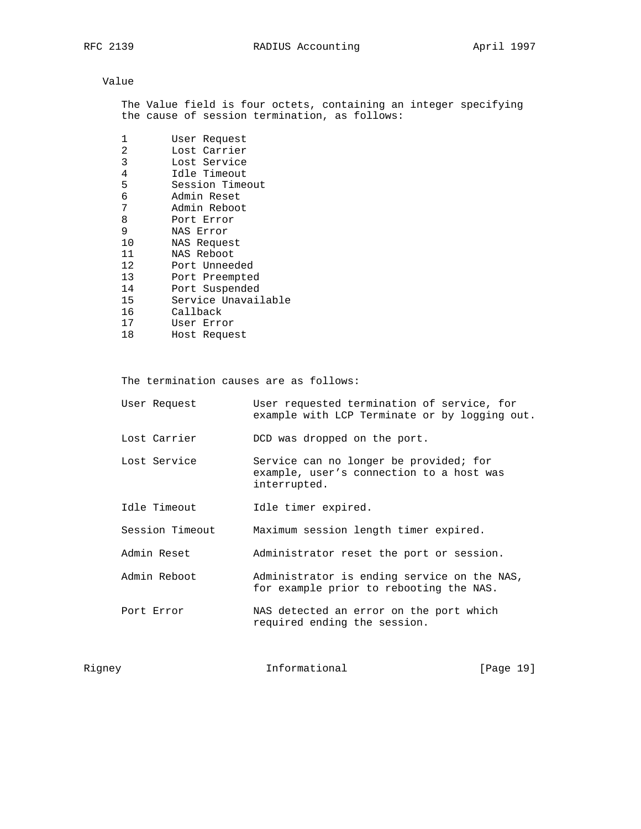# Value

 The Value field is four octets, containing an integer specifying the cause of session termination, as follows:

| 1  | User Request        |
|----|---------------------|
| 2  | Lost Carrier        |
| 3  | Lost Service        |
| 4  | Idle Timeout        |
| 5  | Session Timeout     |
| 6  | Admin Reset         |
| 7  | Admin Reboot        |
| 8  | Port Error          |
| 9  | NAS Error           |
| 10 | NAS Request         |
| 11 | NAS Reboot          |
| 12 | Port Unneeded       |
| 13 | Port Preempted      |
| 14 | Port Suspended      |
| 15 | Service Unavailable |
| 16 | Callback            |
| 17 | User Error          |
| 18 | Host Request        |

The termination causes are as follows:

| User Request    | User requested termination of service, for<br>example with LCP Terminate or by logging out.        |
|-----------------|----------------------------------------------------------------------------------------------------|
| Lost Carrier    | DCD was dropped on the port.                                                                       |
| Lost Service    | Service can no longer be provided; for<br>example, user's connection to a host was<br>interrupted. |
| Idle Timeout    | Idle timer expired.                                                                                |
| Session Timeout | Maximum session length timer expired.                                                              |
| Admin Reset     | Administrator reset the port or session.                                                           |
| Admin Reboot    | Administrator is ending service on the NAS,<br>for example prior to rebooting the NAS.             |
| Port Error      | NAS detected an error on the port which<br>required ending the session.                            |
|                 |                                                                                                    |

Rigney 19 Informational [Page 19]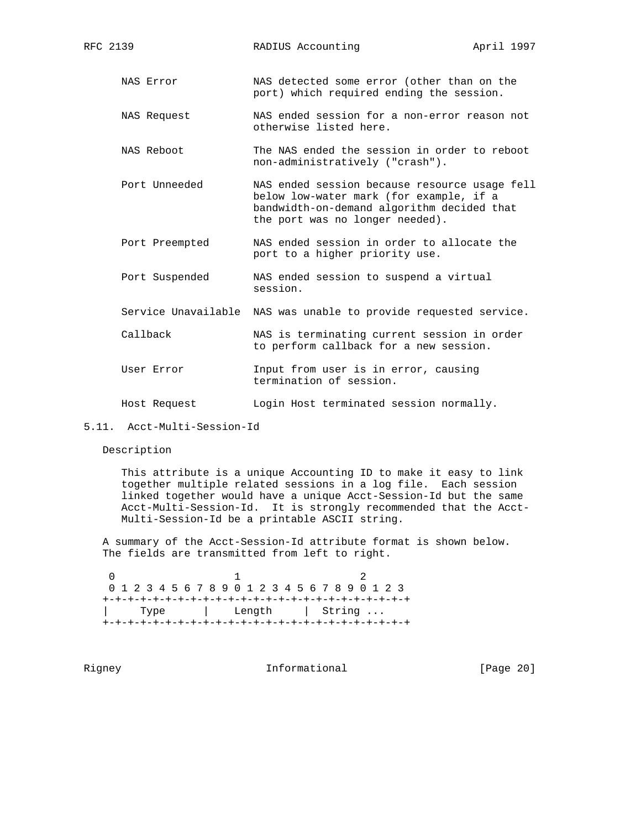- NAS Error NAS detected some error (other than on the port) which required ending the session.
- NAS Request NAS ended session for a non-error reason not otherwise listed here.
- NAS Reboot The NAS ended the session in order to reboot non-administratively ("crash").
- Port Unneeded NAS ended session because resource usage fell below low-water mark (for example, if a bandwidth-on-demand algorithm decided that the port was no longer needed).
- Port Preempted NAS ended session in order to allocate the port to a higher priority use.
- Port Suspended NAS ended session to suspend a virtual session.
- Service Unavailable NAS was unable to provide requested service.
- Callback NAS is terminating current session in order to perform callback for a new session.
- User Error **Input from user is in error, causing** termination of session.
- Host Request Login Host terminated session normally.

Description

 This attribute is a unique Accounting ID to make it easy to link together multiple related sessions in a log file. Each session linked together would have a unique Acct-Session-Id but the same Acct-Multi-Session-Id. It is strongly recommended that the Acct- Multi-Session-Id be a printable ASCII string.

 A summary of the Acct-Session-Id attribute format is shown below. The fields are transmitted from left to right.

 $0$  1 2 0 1 2 3 4 5 6 7 8 9 0 1 2 3 4 5 6 7 8 9 0 1 2 3 +-+-+-+-+-+-+-+-+-+-+-+-+-+-+-+-+-+-+-+-+-+-+-+-+ | Type | Length | String ... +-+-+-+-+-+-+-+-+-+-+-+-+-+-+-+-+-+-+-+-+-+-+-+-+

Rigney **Informational** [Page 20]

<sup>5.11.</sup> Acct-Multi-Session-Id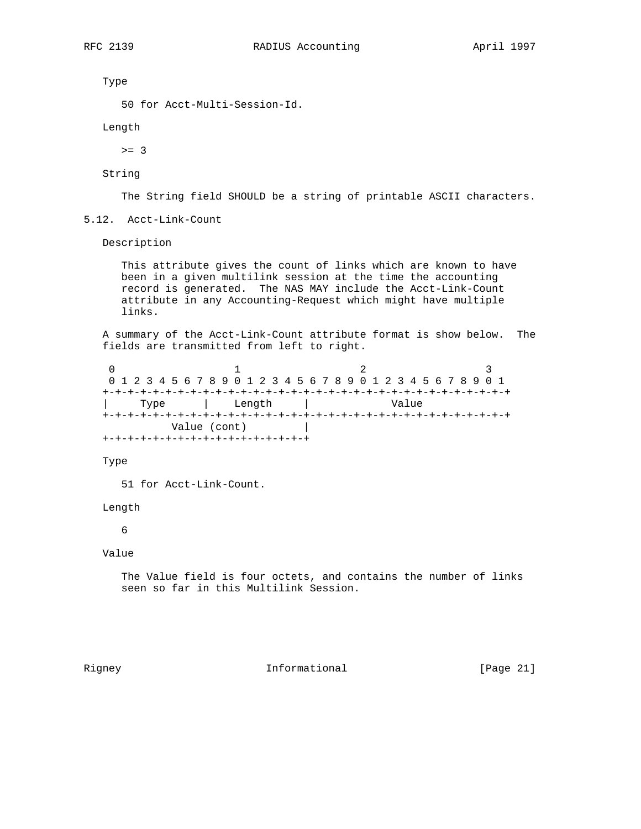Type

```
 50 for Acct-Multi-Session-Id.
```
Length

 $>= 3$ 

String

The String field SHOULD be a string of printable ASCII characters.

5.12. Acct-Link-Count

Description

 This attribute gives the count of links which are known to have been in a given multilink session at the time the accounting record is generated. The NAS MAY include the Acct-Link-Count attribute in any Accounting-Request which might have multiple links.

 A summary of the Acct-Link-Count attribute format is show below. The fields are transmitted from left to right.

0  $1$  2 3 0 1 2 3 4 5 6 7 8 9 0 1 2 3 4 5 6 7 8 9 0 1 2 3 4 5 6 7 8 9 0 1 +-+-+-+-+-+-+-+-+-+-+-+-+-+-+-+-+-+-+-+-+-+-+-+-+-+-+-+-+-+-+-+-+ | Type | Length | Value +-+-+-+-+-+-+-+-+-+-+-+-+-+-+-+-+-+-+-+-+-+-+-+-+-+-+-+-+-+-+-+-+ Value (cont) | +-+-+-+-+-+-+-+-+-+-+-+-+-+-+-+-+

Type

51 for Acct-Link-Count.

Length

# 6

Value

 The Value field is four octets, and contains the number of links seen so far in this Multilink Session.

Rigney 10 Informational [Page 21]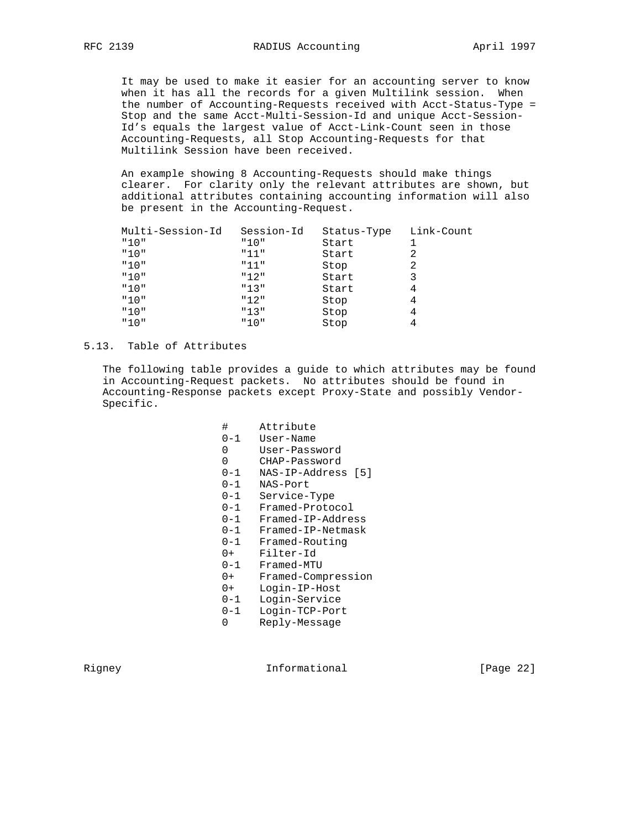It may be used to make it easier for an accounting server to know when it has all the records for a given Multilink session. When the number of Accounting-Requests received with Acct-Status-Type = Stop and the same Acct-Multi-Session-Id and unique Acct-Session- Id's equals the largest value of Acct-Link-Count seen in those Accounting-Requests, all Stop Accounting-Requests for that Multilink Session have been received.

 An example showing 8 Accounting-Requests should make things clearer. For clarity only the relevant attributes are shown, but additional attributes containing accounting information will also be present in the Accounting-Request.

|      | Multi-Session-Id | Session-Id | Status-Type | Link-Count |
|------|------------------|------------|-------------|------------|
| "10" |                  | "10"       | Start       |            |
| "10" |                  | "11"       | Start       |            |
| "10" |                  | "11"       | Stop        |            |
| "10" |                  | "12"       | Start       |            |
| "10" |                  | "13"       | Start       |            |
| "10" |                  | "12"       | Stop        |            |
| "10" |                  | "13"       | Stop        |            |
| "10" |                  | "10"       | Stop        |            |

# 5.13. Table of Attributes

 The following table provides a guide to which attributes may be found in Accounting-Request packets. No attributes should be found in Accounting-Response packets except Proxy-State and possibly Vendor- Specific.

| #       | Attribute          |
|---------|--------------------|
| $0 - 1$ | User-Name          |
| 0       | User-Password      |
| 0       | CHAP-Password      |
| 0-1     | NAS-IP-Address [5] |
| $0 - 1$ | NAS-Port           |
| 0-1     | Service-Type       |
| 0-1     | Framed-Protocol    |
| $0 - 1$ | Framed-IP-Address  |
| $0 - 1$ | Framed-IP-Netmask  |
| $0 - 1$ | Framed-Routing     |
| $0+$    | Filter-Id          |
| $0 - 1$ | Framed-MTU         |
| $0+$    | Framed-Compression |
| $0+$    | Login-IP-Host      |
| 0-1     | Login-Service      |
| $0 - 1$ | Login-TCP-Port     |
| 0       | Reply-Message      |

Rigney 10 Informational [Page 22]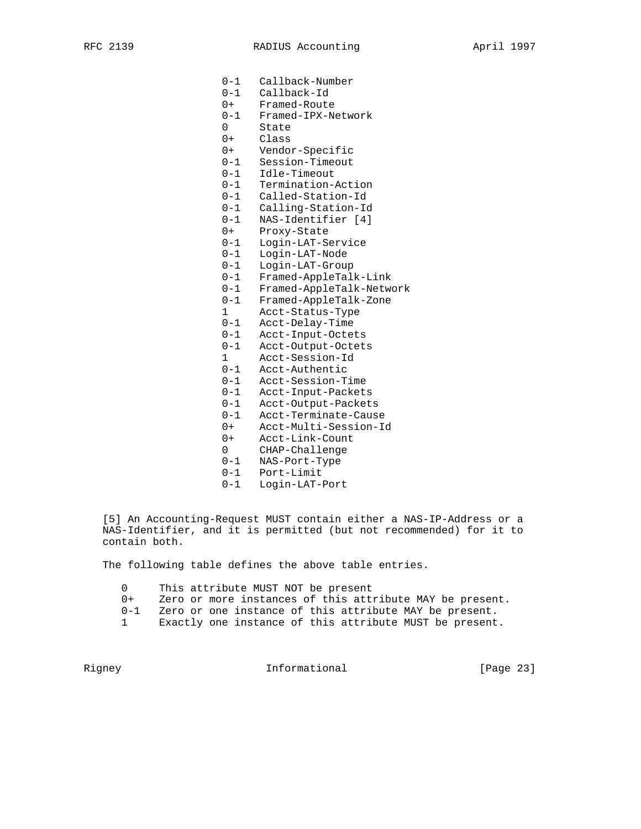0-1 Callback-Number 0-1 Callback-Id 0+ Framed-Route 0-1 Framed-IPX-Network 0 State 0+ Class 0+ Vendor-Specific 0-1 Session-Timeout 0-1 Idle-Timeout 0-1 Termination-Action 0-1 Called-Station-Id 0-1 Calling-Station-Id 0-1 NAS-Identifier [4] 0+ Proxy-State 0-1 Login-LAT-Service 0-1 Login-LAT-Node 0-1 Login-LAT-Group 0-1 Framed-AppleTalk-Link 0-1 Framed-AppleTalk-Network 0-1 Framed-AppleTalk-Zone 1 Acct-Status-Type 0-1 Acct-Delay-Time 0-1 Acct-Input-Octets 0-1 Acct-Output-Octets 1 Acct-Session-Id 0-1 Acct-Authentic 0-1 Acct-Session-Time 0-1 Acct-Input-Packets 0-1 Acct-Output-Packets 0-1 Acct-Terminate-Cause 0+ Acct-Multi-Session-Id 0+ Acct-Link-Count 0 CHAP-Challenge 0-1 NAS-Port-Type 0-1 Port-Limit 0-1 Login-LAT-Port

 [5] An Accounting-Request MUST contain either a NAS-IP-Address or a NAS-Identifier, and it is permitted (but not recommended) for it to contain both.

The following table defines the above table entries.

- 0 This attribute MUST NOT be present
- 0+ Zero or more instances of this attribute MAY be present.
- 0-1 Zero or one instance of this attribute MAY be present.
- 1 Exactly one instance of this attribute MUST be present.

Rigney 10 1nformational [Page 23]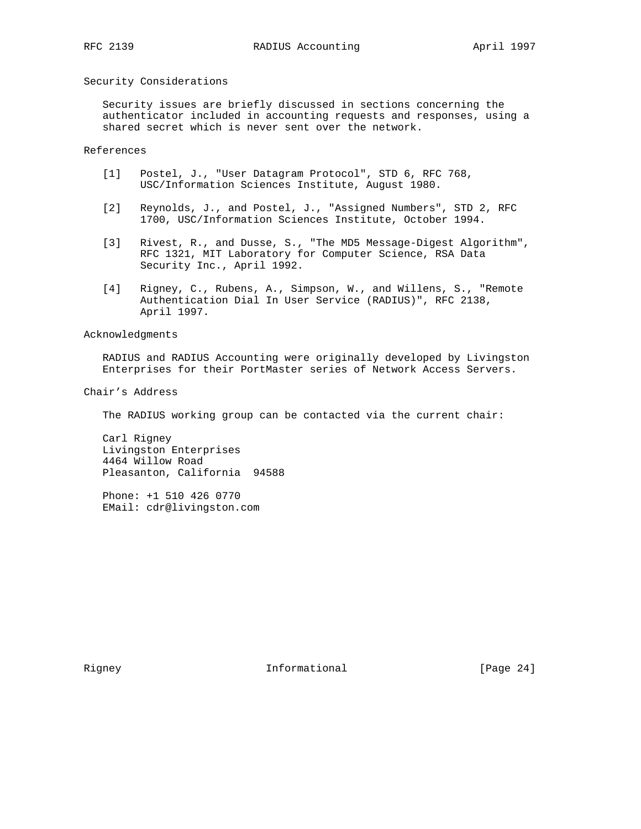## Security Considerations

 Security issues are briefly discussed in sections concerning the authenticator included in accounting requests and responses, using a shared secret which is never sent over the network.

# References

- [1] Postel, J., "User Datagram Protocol", STD 6, RFC 768, USC/Information Sciences Institute, August 1980.
- [2] Reynolds, J., and Postel, J., "Assigned Numbers", STD 2, RFC 1700, USC/Information Sciences Institute, October 1994.
- [3] Rivest, R., and Dusse, S., "The MD5 Message-Digest Algorithm", RFC 1321, MIT Laboratory for Computer Science, RSA Data Security Inc., April 1992.
- [4] Rigney, C., Rubens, A., Simpson, W., and Willens, S., "Remote Authentication Dial In User Service (RADIUS)", RFC 2138, April 1997.

Acknowledgments

 RADIUS and RADIUS Accounting were originally developed by Livingston Enterprises for their PortMaster series of Network Access Servers.

Chair's Address

The RADIUS working group can be contacted via the current chair:

 Carl Rigney Livingston Enterprises 4464 Willow Road Pleasanton, California 94588

 Phone: +1 510 426 0770 EMail: cdr@livingston.com

Rigney 10 Informational [Page 24]